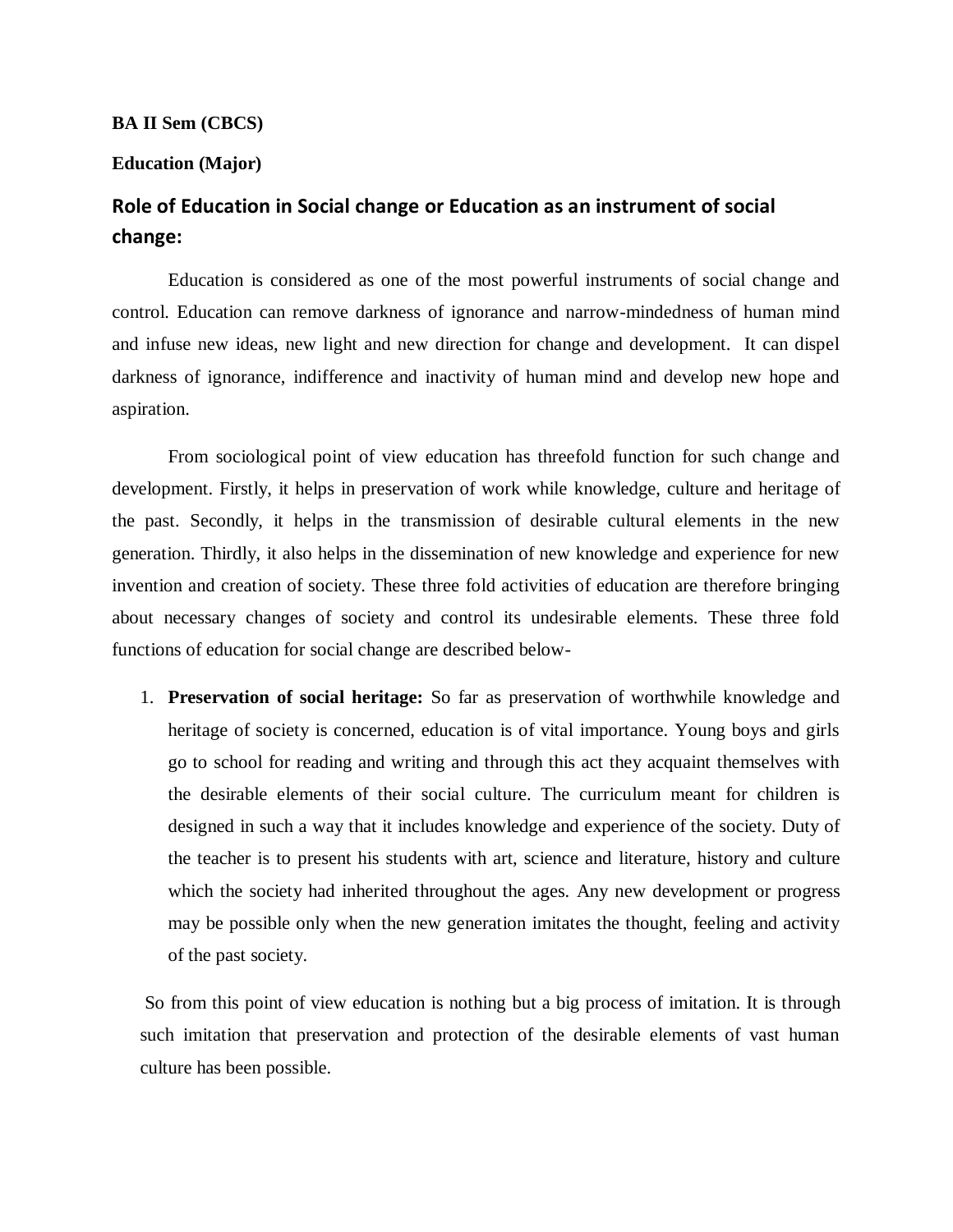## **BA II Sem (CBCS)**

## **Education (Major)**

## **Role of Education in Social change or Education as an instrument of social change:**

Education is considered as one of the most powerful instruments of social change and control. Education can remove darkness of ignorance and narrow-mindedness of human mind and infuse new ideas, new light and new direction for change and development. It can dispel darkness of ignorance, indifference and inactivity of human mind and develop new hope and aspiration.

From sociological point of view education has threefold function for such change and development. Firstly, it helps in preservation of work while knowledge, culture and heritage of the past. Secondly, it helps in the transmission of desirable cultural elements in the new generation. Thirdly, it also helps in the dissemination of new knowledge and experience for new invention and creation of society. These three fold activities of education are therefore bringing about necessary changes of society and control its undesirable elements. These three fold functions of education for social change are described below-

1. **Preservation of social heritage:** So far as preservation of worthwhile knowledge and heritage of society is concerned, education is of vital importance. Young boys and girls go to school for reading and writing and through this act they acquaint themselves with the desirable elements of their social culture. The curriculum meant for children is designed in such a way that it includes knowledge and experience of the society. Duty of the teacher is to present his students with art, science and literature, history and culture which the society had inherited throughout the ages. Any new development or progress may be possible only when the new generation imitates the thought, feeling and activity of the past society.

So from this point of view education is nothing but a big process of imitation. It is through such imitation that preservation and protection of the desirable elements of vast human culture has been possible.